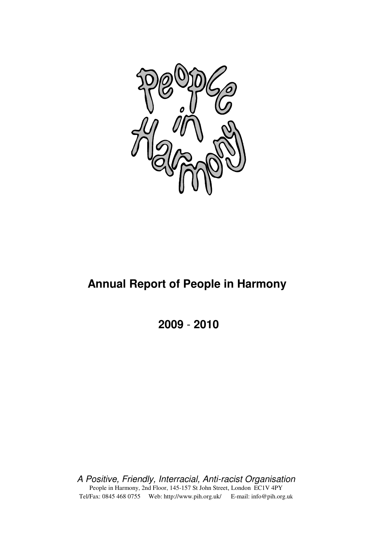

# **Annual Report of People in Harmony**

**2009** - **2010**

A Positive, Friendly, Interracial, Anti-racist Organisation People in Harmony, 2nd Floor, 145-157 St John Street, London EC1V 4PY Tel/Fax: 0845 468 0755 Web: http://www.pih.org.uk/ E-mail: info@pih.org.uk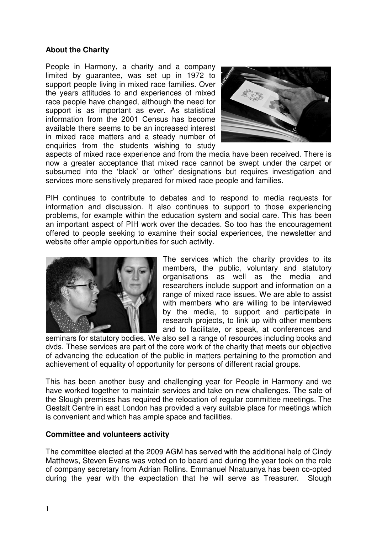#### **About the Charity**

People in Harmony, a charity and a company limited by guarantee, was set up in 1972 to support people living in mixed race families. Over the years attitudes to and experiences of mixed race people have changed, although the need for support is as important as ever. As statistical information from the 2001 Census has become available there seems to be an increased interest in mixed race matters and a steady number of enquiries from the students wishing to study



aspects of mixed race experience and from the media have been received. There is now a greater acceptance that mixed race cannot be swept under the carpet or subsumed into the 'black' or 'other' designations but requires investigation and services more sensitively prepared for mixed race people and families.

PIH continues to contribute to debates and to respond to media requests for information and discussion. It also continues to support to those experiencing problems, for example within the education system and social care. This has been an important aspect of PIH work over the decades. So too has the encouragement offered to people seeking to examine their social experiences, the newsletter and website offer ample opportunities for such activity.



The services which the charity provides to its members, the public, voluntary and statutory organisations as well as the media and researchers include support and information on a range of mixed race issues. We are able to assist with members who are willing to be interviewed by the media, to support and participate in research projects, to link up with other members and to facilitate, or speak, at conferences and

seminars for statutory bodies. We also sell a range of resources including books and dvds. These services are part of the core work of the charity that meets our objective of advancing the education of the public in matters pertaining to the promotion and achievement of equality of opportunity for persons of different racial groups.

This has been another busy and challenging year for People in Harmony and we have worked together to maintain services and take on new challenges. The sale of the Slough premises has required the relocation of regular committee meetings. The Gestalt Centre in east London has provided a very suitable place for meetings which is convenient and which has ample space and facilities.

#### **Committee and volunteers activity**

The committee elected at the 2009 AGM has served with the additional help of Cindy Matthews, Steven Evans was voted on to board and during the year took on the role of company secretary from Adrian Rollins. Emmanuel Nnatuanya has been co-opted during the year with the expectation that he will serve as Treasurer. Slough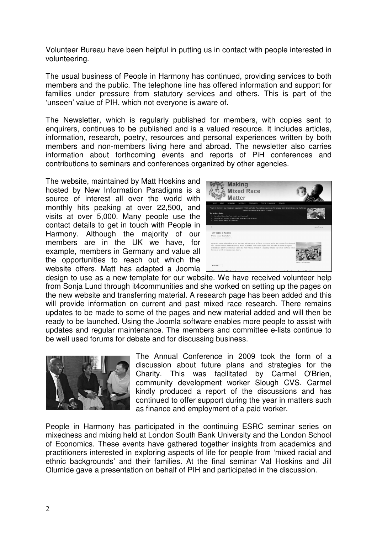Volunteer Bureau have been helpful in putting us in contact with people interested in volunteering.

The usual business of People in Harmony has continued, providing services to both members and the public. The telephone line has offered information and support for families under pressure from statutory services and others. This is part of the 'unseen' value of PIH, which not everyone is aware of.

The Newsletter, which is regularly published for members, with copies sent to enquirers, continues to be published and is a valued resource. It includes articles, information, research, poetry, resources and personal experiences written by both members and non-members living here and abroad. The newsletter also carries information about forthcoming events and reports of PiH conferences and contributions to seminars and conferences organized by other agencies.

The website, maintained by Matt Hoskins and hosted by New Information Paradigms is a source of interest all over the world with monthly hits peaking at over 22,500, and visits at over 5,000. Many people use the contact details to get in touch with People in Harmony. Although the majority of our members are in the UK we have, for example, members in Germany and value all the opportunities to reach out which the website offers. Matt has adapted a Joomla



design to use as a new template for our website. We have received volunteer help from Sonja Lund through it4communities and she worked on setting up the pages on the new website and transferring material. A research page has been added and this will provide information on current and past mixed race research. There remains updates to be made to some of the pages and new material added and will then be ready to be launched. Using the Joomla software enables more people to assist with updates and regular maintenance. The members and committee e-lists continue to be well used forums for debate and for discussing business.



The Annual Conference in 2009 took the form of a discussion about future plans and strategies for the Charity. This was facilitated by Carmel O'Brien, community development worker Slough CVS. Carmel kindly produced a report of the discussions and has continued to offer support during the year in matters such as finance and employment of a paid worker.

People in Harmony has participated in the continuing ESRC seminar series on mixedness and mixing held at London South Bank University and the London School of Economics. These events have gathered together insights from academics and practitioners interested in exploring aspects of life for people from 'mixed racial and ethnic backgrounds' and their families. At the final seminar Val Hoskins and Jill Olumide gave a presentation on behalf of PIH and participated in the discussion.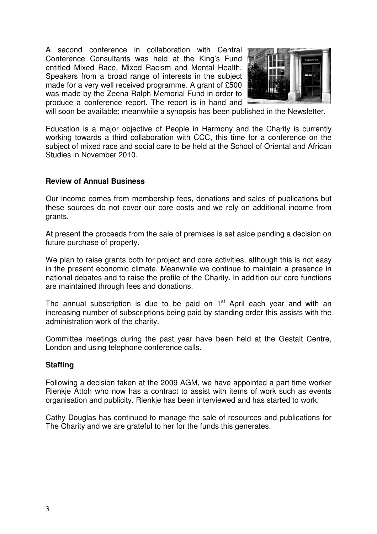A second conference in collaboration with Central Conference Consultants was held at the King's Fund entitled Mixed Race, Mixed Racism and Mental Health. Speakers from a broad range of interests in the subject made for a very well received programme. A grant of £500 was made by the Zeena Ralph Memorial Fund in order to produce a conference report. The report is in hand and



will soon be available; meanwhile a synopsis has been published in the Newsletter.

Education is a major objective of People in Harmony and the Charity is currently working towards a third collaboration with CCC, this time for a conference on the subject of mixed race and social care to be held at the School of Oriental and African Studies in November 2010.

#### **Review of Annual Business**

Our income comes from membership fees, donations and sales of publications but these sources do not cover our core costs and we rely on additional income from grants.

At present the proceeds from the sale of premises is set aside pending a decision on future purchase of property.

We plan to raise grants both for project and core activities, although this is not easy in the present economic climate. Meanwhile we continue to maintain a presence in national debates and to raise the profile of the Charity. In addition our core functions are maintained through fees and donations.

The annual subscription is due to be paid on  $1<sup>st</sup>$  April each year and with an increasing number of subscriptions being paid by standing order this assists with the administration work of the charity.

Committee meetings during the past year have been held at the Gestalt Centre, London and using telephone conference calls.

#### **Staffing**

Following a decision taken at the 2009 AGM, we have appointed a part time worker Rienkje Attoh who now has a contract to assist with items of work such as events organisation and publicity. Rienkje has been interviewed and has started to work.

Cathy Douglas has continued to manage the sale of resources and publications for The Charity and we are grateful to her for the funds this generates.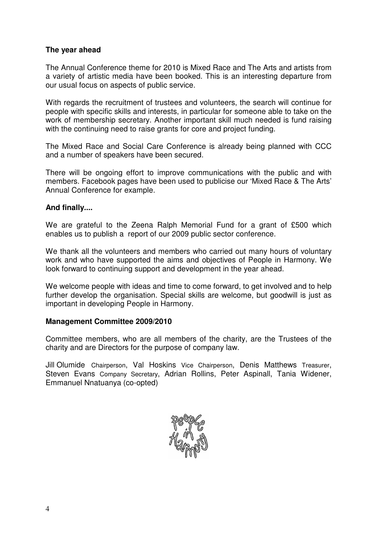#### **The year ahead**

The Annual Conference theme for 2010 is Mixed Race and The Arts and artists from a variety of artistic media have been booked. This is an interesting departure from our usual focus on aspects of public service.

With regards the recruitment of trustees and volunteers, the search will continue for people with specific skills and interests, in particular for someone able to take on the work of membership secretary. Another important skill much needed is fund raising with the continuing need to raise grants for core and project funding.

The Mixed Race and Social Care Conference is already being planned with CCC and a number of speakers have been secured.

There will be ongoing effort to improve communications with the public and with members. Facebook pages have been used to publicise our 'Mixed Race & The Arts' Annual Conference for example.

#### **And finally....**

We are grateful to the Zeena Ralph Memorial Fund for a grant of £500 which enables us to publish a report of our 2009 public sector conference.

We thank all the volunteers and members who carried out many hours of voluntary work and who have supported the aims and objectives of People in Harmony. We look forward to continuing support and development in the year ahead.

We welcome people with ideas and time to come forward, to get involved and to help further develop the organisation. Special skills are welcome, but goodwill is just as important in developing People in Harmony.

#### **Management Committee 2009/2010**

Committee members, who are all members of the charity, are the Trustees of the charity and are Directors for the purpose of company law.

Jill Olumide Chairperson, Val Hoskins Vice Chairperson, Denis Matthews Treasurer, Steven Evans Company Secretary, Adrian Rollins, Peter Aspinall, Tania Widener, Emmanuel Nnatuanya (co-opted)